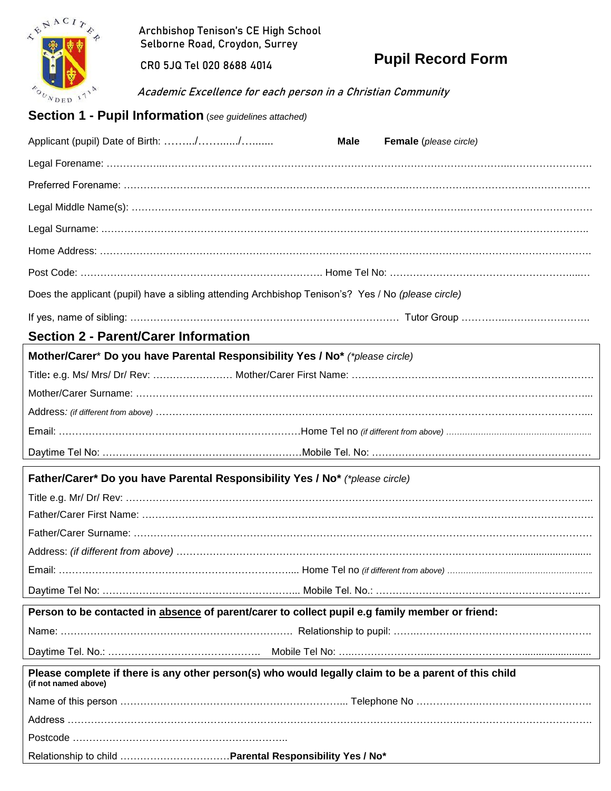

 Archbishop Tenison's CE High School Selborne Road, Croydon, Surrey

CR0 5JQ Tel 020 8688 4014

**Pupil Record Form**

Academic Excellence for each person in a Christian Community

## **Section 1 - Pupil Information** (*see guidelines attached)*

| Applicant (pupil) Date of Birth: //<br>Male                                                                                  | Female (please circle) |
|------------------------------------------------------------------------------------------------------------------------------|------------------------|
|                                                                                                                              |                        |
|                                                                                                                              |                        |
|                                                                                                                              |                        |
|                                                                                                                              |                        |
|                                                                                                                              |                        |
|                                                                                                                              |                        |
| Does the applicant (pupil) have a sibling attending Archbishop Tenison's? Yes / No (please circle)                           |                        |
|                                                                                                                              |                        |
| <b>Section 2 - Parent/Carer Information</b>                                                                                  |                        |
| Mother/Carer* Do you have Parental Responsibility Yes / No* (*please circle)                                                 |                        |
|                                                                                                                              |                        |
|                                                                                                                              |                        |
|                                                                                                                              |                        |
|                                                                                                                              |                        |
|                                                                                                                              |                        |
| Father/Carer* Do you have Parental Responsibility Yes / No* (*please circle)                                                 |                        |
|                                                                                                                              |                        |
|                                                                                                                              |                        |
|                                                                                                                              |                        |
|                                                                                                                              |                        |
|                                                                                                                              |                        |
|                                                                                                                              |                        |
| Person to be contacted in absence of parent/carer to collect pupil e.g family member or friend:                              |                        |
|                                                                                                                              |                        |
|                                                                                                                              |                        |
| Please complete if there is any other person(s) who would legally claim to be a parent of this child<br>(if not named above) |                        |
|                                                                                                                              |                        |
|                                                                                                                              |                        |
|                                                                                                                              |                        |
|                                                                                                                              |                        |